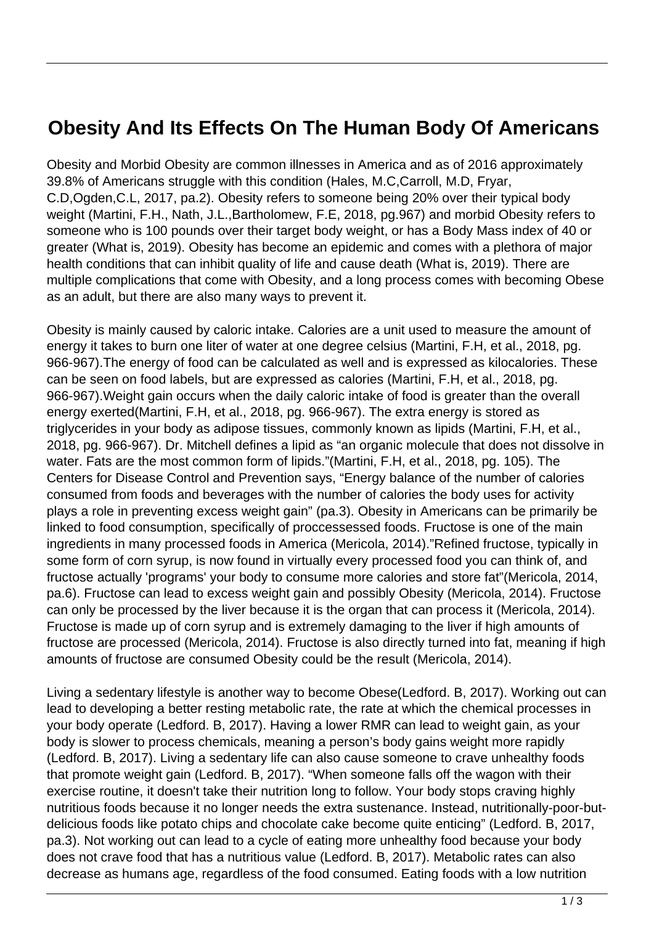## **Obesity And Its Effects On The Human Body Of Americans**

Obesity and Morbid Obesity are common illnesses in America and as of 2016 approximately 39.8% of Americans struggle with this condition (Hales, M.C,Carroll, M.D, Fryar, C.D,Ogden,C.L, 2017, pa.2). Obesity refers to someone being 20% over their typical body weight (Martini, F.H., Nath, J.L.,Bartholomew, F.E, 2018, pg.967) and morbid Obesity refers to someone who is 100 pounds over their target body weight, or has a Body Mass index of 40 or greater (What is, 2019). Obesity has become an epidemic and comes with a plethora of major health conditions that can inhibit quality of life and cause death (What is, 2019). There are multiple complications that come with Obesity, and a long process comes with becoming Obese as an adult, but there are also many ways to prevent it.

Obesity is mainly caused by caloric intake. Calories are a unit used to measure the amount of energy it takes to burn one liter of water at one degree celsius (Martini, F.H, et al., 2018, pg. 966-967).The energy of food can be calculated as well and is expressed as kilocalories. These can be seen on food labels, but are expressed as calories (Martini, F.H, et al., 2018, pg. 966-967).Weight gain occurs when the daily caloric intake of food is greater than the overall energy exerted(Martini, F.H, et al., 2018, pg. 966-967). The extra energy is stored as triglycerides in your body as adipose tissues, commonly known as lipids (Martini, F.H, et al., 2018, pg. 966-967). Dr. Mitchell defines a lipid as "an organic molecule that does not dissolve in water. Fats are the most common form of lipids."(Martini, F.H, et al., 2018, pg. 105). The Centers for Disease Control and Prevention says, "Energy balance of the number of calories consumed from foods and beverages with the number of calories the body uses for activity plays a role in preventing excess weight gain" (pa.3). Obesity in Americans can be primarily be linked to food consumption, specifically of proccessessed foods. Fructose is one of the main ingredients in many processed foods in America (Mericola, 2014)."Refined fructose, typically in some form of corn syrup, is now found in virtually every processed food you can think of, and fructose actually 'programs' your body to consume more calories and store fat"(Mericola, 2014, pa.6). Fructose can lead to excess weight gain and possibly Obesity (Mericola, 2014). Fructose can only be processed by the liver because it is the organ that can process it (Mericola, 2014). Fructose is made up of corn syrup and is extremely damaging to the liver if high amounts of fructose are processed (Mericola, 2014). Fructose is also directly turned into fat, meaning if high amounts of fructose are consumed Obesity could be the result (Mericola, 2014).

Living a sedentary lifestyle is another way to become Obese(Ledford. B, 2017). Working out can lead to developing a better resting metabolic rate, the rate at which the chemical processes in your body operate (Ledford. B, 2017). Having a lower RMR can lead to weight gain, as your body is slower to process chemicals, meaning a person's body gains weight more rapidly (Ledford. B, 2017). Living a sedentary life can also cause someone to crave unhealthy foods that promote weight gain (Ledford. B, 2017). "When someone falls off the wagon with their exercise routine, it doesn't take their nutrition long to follow. Your body stops craving highly nutritious foods because it no longer needs the extra sustenance. Instead, nutritionally-poor-butdelicious foods like potato chips and chocolate cake become quite enticing" (Ledford. B, 2017, pa.3). Not working out can lead to a cycle of eating more unhealthy food because your body does not crave food that has a nutritious value (Ledford. B, 2017). Metabolic rates can also decrease as humans age, regardless of the food consumed. Eating foods with a low nutrition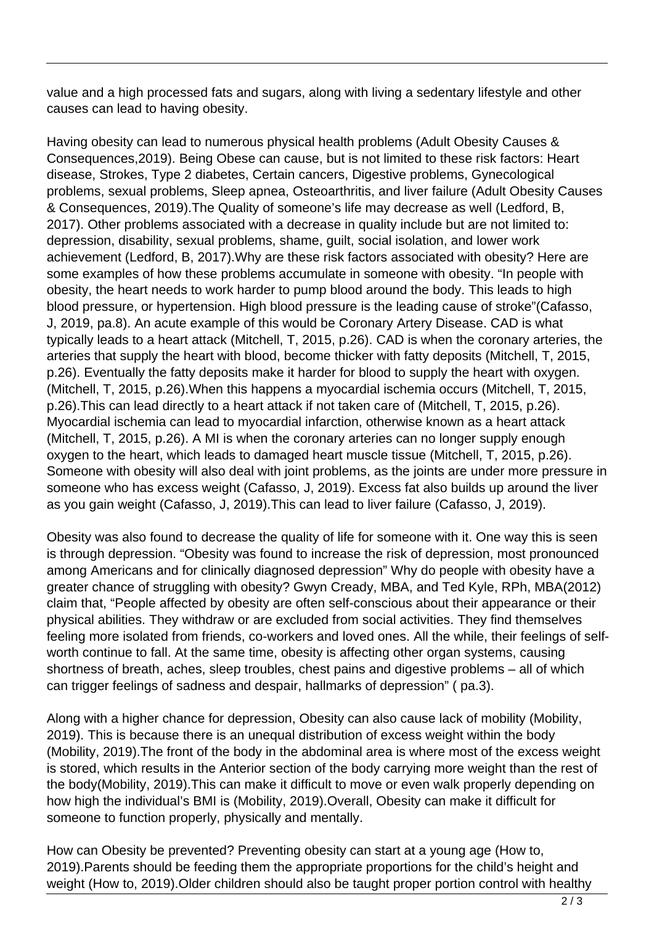value and a high processed fats and sugars, along with living a sedentary lifestyle and other causes can lead to having obesity.

Having obesity can lead to numerous physical health problems (Adult Obesity Causes & Consequences,2019). Being Obese can cause, but is not limited to these risk factors: Heart disease, Strokes, Type 2 diabetes, Certain cancers, Digestive problems, Gynecological problems, sexual problems, Sleep apnea, Osteoarthritis, and liver failure (Adult Obesity Causes & Consequences, 2019).The Quality of someone's life may decrease as well (Ledford, B, 2017). Other problems associated with a decrease in quality include but are not limited to: depression, disability, sexual problems, shame, guilt, social isolation, and lower work achievement (Ledford, B, 2017).Why are these risk factors associated with obesity? Here are some examples of how these problems accumulate in someone with obesity. "In people with obesity, the heart needs to work harder to pump blood around the body. This leads to high blood pressure, or hypertension. High blood pressure is the leading cause of stroke"(Cafasso, J, 2019, pa.8). An acute example of this would be Coronary Artery Disease. CAD is what typically leads to a heart attack (Mitchell, T, 2015, p.26). CAD is when the coronary arteries, the arteries that supply the heart with blood, become thicker with fatty deposits (Mitchell, T, 2015, p.26). Eventually the fatty deposits make it harder for blood to supply the heart with oxygen. (Mitchell, T, 2015, p.26).When this happens a myocardial ischemia occurs (Mitchell, T, 2015, p.26).This can lead directly to a heart attack if not taken care of (Mitchell, T, 2015, p.26). Myocardial ischemia can lead to myocardial infarction, otherwise known as a heart attack (Mitchell, T, 2015, p.26). A MI is when the coronary arteries can no longer supply enough oxygen to the heart, which leads to damaged heart muscle tissue (Mitchell, T, 2015, p.26). Someone with obesity will also deal with joint problems, as the joints are under more pressure in someone who has excess weight (Cafasso, J, 2019). Excess fat also builds up around the liver as you gain weight (Cafasso, J, 2019).This can lead to liver failure (Cafasso, J, 2019).

Obesity was also found to decrease the quality of life for someone with it. One way this is seen is through depression. "Obesity was found to increase the risk of depression, most pronounced among Americans and for clinically diagnosed depression" Why do people with obesity have a greater chance of struggling with obesity? Gwyn Cready, MBA, and Ted Kyle, RPh, MBA(2012) claim that, "People affected by obesity are often self-conscious about their appearance or their physical abilities. They withdraw or are excluded from social activities. They find themselves feeling more isolated from friends, co-workers and loved ones. All the while, their feelings of selfworth continue to fall. At the same time, obesity is affecting other organ systems, causing shortness of breath, aches, sleep troubles, chest pains and digestive problems – all of which can trigger feelings of sadness and despair, hallmarks of depression" ( pa.3).

Along with a higher chance for depression, Obesity can also cause lack of mobility (Mobility, 2019). This is because there is an unequal distribution of excess weight within the body (Mobility, 2019).The front of the body in the abdominal area is where most of the excess weight is stored, which results in the Anterior section of the body carrying more weight than the rest of the body(Mobility, 2019).This can make it difficult to move or even walk properly depending on how high the individual's BMI is (Mobility, 2019).Overall, Obesity can make it difficult for someone to function properly, physically and mentally.

How can Obesity be prevented? Preventing obesity can start at a young age (How to, 2019).Parents should be feeding them the appropriate proportions for the child's height and weight (How to, 2019).Older children should also be taught proper portion control with healthy